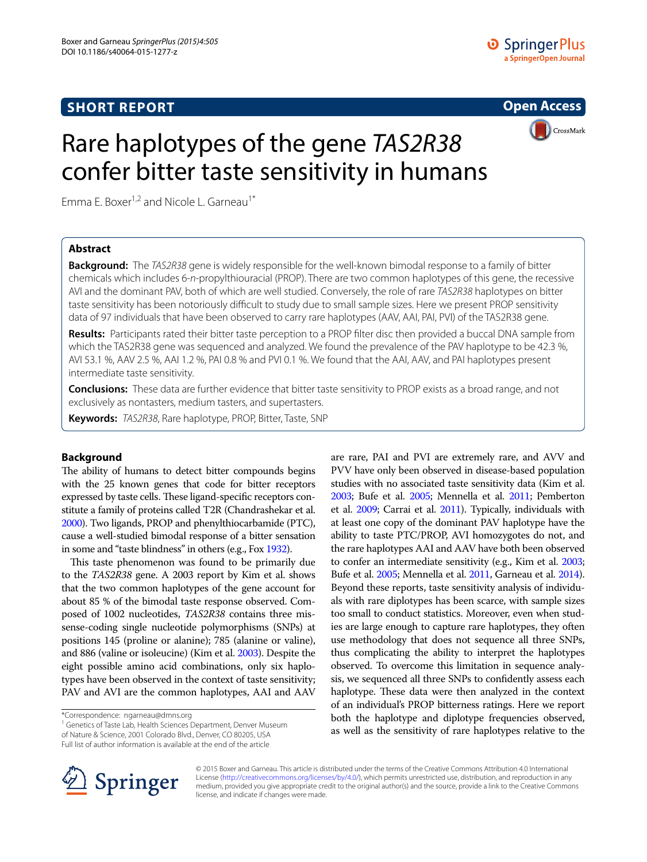# **SHORT REPORT**



CrossMark

# Rare haplotypes of the gene *TAS2R38* confer bitter taste sensitivity in humans

Emma E. Boxer<sup>1,2</sup> and Nicole L. Garneau<sup>1\*</sup>

# **Abstract**

**Background:** The *TAS2R38* gene is widely responsible for the well-known bimodal response to a family of bitter chemicals which includes 6-*n*-propylthiouracial (PROP). There are two common haplotypes of this gene, the recessive AVI and the dominant PAV, both of which are well studied. Conversely, the role of rare *TAS2R38* haplotypes on bitter taste sensitivity has been notoriously difficult to study due to small sample sizes. Here we present PROP sensitivity data of 97 individuals that have been observed to carry rare haplotypes (AAV, AAI, PAI, PVI) of the TAS2R38 gene.

**Results:** Participants rated their bitter taste perception to a PROP filter disc then provided a buccal DNA sample from which the TAS2R38 gene was sequenced and analyzed. We found the prevalence of the PAV haplotype to be 42.3 %, AVI 53.1 %, AAV 2.5 %, AAI 1.2 %, PAI 0.8 % and PVI 0.1 %. We found that the AAI, AAV, and PAI haplotypes present intermediate taste sensitivity.

**Conclusions:** These data are further evidence that bitter taste sensitivity to PROP exists as a broad range, and not exclusively as nontasters, medium tasters, and supertasters.

**Keywords:** *TAS2R38*, Rare haplotype, PROP, Bitter, Taste, SNP

# **Background**

The ability of humans to detect bitter compounds begins with the 25 known genes that code for bitter receptors expressed by taste cells. These ligand-specific receptors constitute a family of proteins called T2R (Chandrashekar et al. [2000\)](#page-3-0). Two ligands, PROP and phenylthiocarbamide (PTC), cause a well-studied bimodal response of a bitter sensation in some and "taste blindness" in others (e.g., Fox [1932](#page-3-1)).

This taste phenomenon was found to be primarily due to the *TAS2R38* gene. A 2003 report by Kim et al. shows that the two common haplotypes of the gene account for about 85 % of the bimodal taste response observed. Composed of 1002 nucleotides, *TAS2R38* contains three missense-coding single nucleotide polymorphisms (SNPs) at positions 145 (proline or alanine); 785 (alanine or valine), and 886 (valine or isoleucine) (Kim et al. [2003\)](#page-3-2). Despite the eight possible amino acid combinations, only six haplotypes have been observed in the context of taste sensitivity; PAV and AVI are the common haplotypes, AAI and AAV

\*Correspondence: ngarneau@dmns.org

<sup>1</sup> Genetics of Taste Lab, Health Sciences Department, Denver Museum of Nature & Science, 2001 Colorado Blvd., Denver, CO 80205, USA Full list of author information is available at the end of the article

are rare, PAI and PVI are extremely rare, and AVV and PVV have only been observed in disease-based population studies with no associated taste sensitivity data (Kim et al. [2003;](#page-3-2) Bufe et al. [2005](#page-3-3); Mennella et al. [2011](#page-3-4); Pemberton et al. [2009](#page-3-5); Carrai et al. [2011](#page-3-6)). Typically, individuals with at least one copy of the dominant PAV haplotype have the ability to taste PTC/PROP, AVI homozygotes do not, and the rare haplotypes AAI and AAV have both been observed to confer an intermediate sensitivity (e.g., Kim et al. [2003](#page-3-2); Bufe et al. [2005;](#page-3-3) Mennella et al. [2011](#page-3-4), Garneau et al. [2014](#page-3-7)). Beyond these reports, taste sensitivity analysis of individuals with rare diplotypes has been scarce, with sample sizes too small to conduct statistics. Moreover, even when studies are large enough to capture rare haplotypes, they often use methodology that does not sequence all three SNPs, thus complicating the ability to interpret the haplotypes observed. To overcome this limitation in sequence analysis, we sequenced all three SNPs to confidently assess each haplotype. These data were then analyzed in the context of an individual's PROP bitterness ratings. Here we report both the haplotype and diplotype frequencies observed, as well as the sensitivity of rare haplotypes relative to the



© 2015 Boxer and Garneau. This article is distributed under the terms of the Creative Commons Attribution 4.0 International License (<http://creativecommons.org/licenses/by/4.0/>), which permits unrestricted use, distribution, and reproduction in any medium, provided you give appropriate credit to the original author(s) and the source, provide a link to the Creative Commons license, and indicate if changes were made.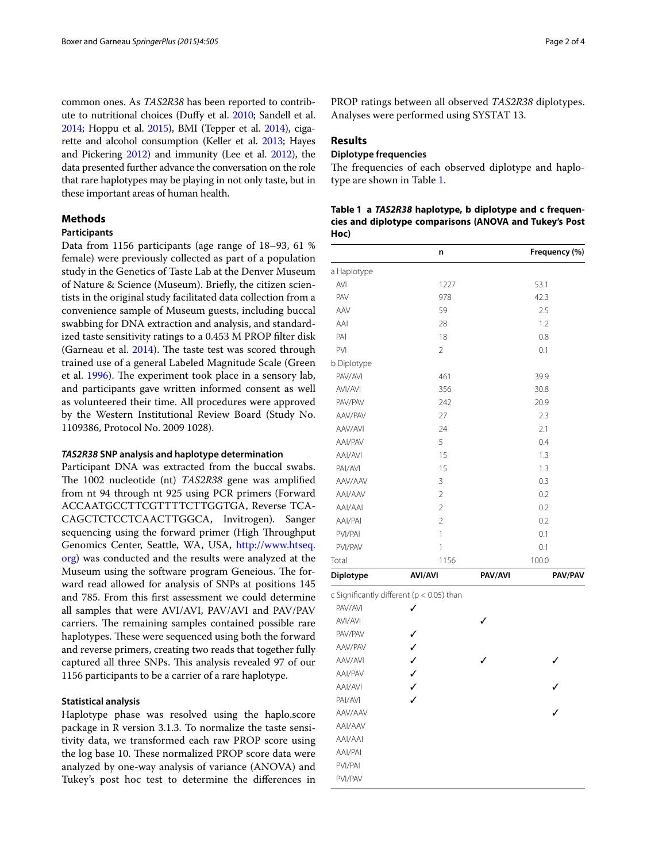common ones. As *TAS2R38* has been reported to contribute to nutritional choices (Duffy et al. [2010](#page-3-8); Sandell et al. [2014;](#page-3-9) Hoppu et al. [2015](#page-3-10)), BMI (Tepper et al. [2014\)](#page-3-11), cigarette and alcohol consumption (Keller et al. [2013](#page-3-12); Hayes and Pickering [2012\)](#page-3-13) and immunity (Lee et al. [2012\)](#page-3-14), the data presented further advance the conversation on the role that rare haplotypes may be playing in not only taste, but in these important areas of human health.

# **Methods**

# **Participants**

Data from 1156 participants (age range of 18–93, 61 % female) were previously collected as part of a population study in the Genetics of Taste Lab at the Denver Museum of Nature & Science (Museum). Briefly, the citizen scientists in the original study facilitated data collection from a convenience sample of Museum guests, including buccal swabbing for DNA extraction and analysis, and standardized taste sensitivity ratings to a 0.453 M PROP filter disk (Garneau et al. [2014](#page-3-7)). The taste test was scored through trained use of a general Labeled Magnitude Scale (Green et al. [1996\)](#page-3-15). The experiment took place in a sensory lab, and participants gave written informed consent as well as volunteered their time. All procedures were approved by the Western Institutional Review Board (Study No. 1109386, Protocol No. 2009 1028).

# *TAS2R38* **SNP analysis and haplotype determination**

Participant DNA was extracted from the buccal swabs. The 1002 nucleotide (nt) *TAS2R38* gene was amplified from nt 94 through nt 925 using PCR primers (Forward ACCAATGCCTTCGTTTTCTTGGTGA, Reverse TCA-CAGCTCTCCTCAACTTGGCA, Invitrogen). Sanger sequencing using the forward primer (High Throughput Genomics Center, Seattle, WA, USA, [http://www.htseq.](http://www.htseq.org) [org](http://www.htseq.org)) was conducted and the results were analyzed at the Museum using the software program Geneious. The forward read allowed for analysis of SNPs at positions 145 and 785. From this first assessment we could determine all samples that were AVI/AVI, PAV/AVI and PAV/PAV carriers. The remaining samples contained possible rare haplotypes. These were sequenced using both the forward and reverse primers, creating two reads that together fully captured all three SNPs. This analysis revealed 97 of our 1156 participants to be a carrier of a rare haplotype.

# **Statistical analysis**

Haplotype phase was resolved using the haplo.score package in R version 3.1.3. To normalize the taste sensitivity data, we transformed each raw PROP score using the log base 10. These normalized PROP score data were analyzed by one-way analysis of variance (ANOVA) and Tukey's post hoc test to determine the differences in

PROP ratings between all observed *TAS2R38* diplotypes. Analyses were performed using SYSTAT 13.

# **Results**

PVI/PAV

## **Diplotype frequencies**

The frequencies of each observed diplotype and haplotype are shown in Table [1.](#page-1-0)

<span id="page-1-0"></span>

|      | Table 1 a TAS2R38 haplotype, b diplotype and c frequen- |
|------|---------------------------------------------------------|
|      | cies and diplotype comparisons (ANOVA and Tukey's Post  |
| Hoc) |                                                         |

|             | n                                         |         | Frequency (%) |
|-------------|-------------------------------------------|---------|---------------|
| a Haplotype |                                           |         |               |
| AVI         | 1227                                      |         | 53.1          |
| PAV         | 978                                       |         | 42.3          |
| AAV         | 59                                        |         | 2.5           |
| AAI         | 28                                        |         | 1.2           |
| PAI         | 18                                        |         | 0.8           |
| <b>PVI</b>  | 2                                         |         | 0.1           |
| b Diplotype |                                           |         |               |
| PAV/AVI     | 461                                       |         | 39.9          |
| AVI/AVI     | 356                                       |         | 30.8          |
| PAV/PAV     | 242                                       |         | 20.9          |
| AAV/PAV     | 27                                        |         | 2.3           |
| AAV/AVI     | 24                                        |         | 2.1           |
| AAI/PAV     | 5                                         |         | 0.4           |
| AAI/AVI     | 15                                        |         | 1.3           |
| PAI/AVI     | 15                                        |         | 1.3           |
| AAV/AAV     | 3                                         |         | 0.3           |
| AAI/AAV     | $\overline{2}$                            |         | 0.2           |
| AAI/AAI     | $\overline{2}$                            |         | 0.2           |
| AAI/PAI     | $\overline{2}$                            |         | 0.2           |
| PVI/PAI     | 1                                         |         | 0.1           |
| PVI/PAV     | 1                                         |         | 0.1           |
| Total       | 1156                                      |         | 100.0         |
| Diplotype   | <b>AVI/AVI</b>                            | PAV/AVI | PAV/PAV       |
|             | c Significantly different (p < 0.05) than |         |               |
| PAV/AVI     | ✓                                         |         |               |
| AVI/AVI     |                                           |         |               |
| PAV/PAV     | ✓                                         |         |               |
| AAV/PAV     | ✓                                         |         |               |
| AAV/AVI     | $\checkmark$                              |         |               |
| AAI/PAV     | $\checkmark$                              |         |               |
| AAI/AVI     |                                           |         |               |
| PAI/AVI     | J                                         |         |               |
| AAV/AAV     |                                           |         |               |
| AAI/AAV     |                                           |         |               |
| AAI/AAI     |                                           |         |               |
| AAI/PAI     |                                           |         |               |
| PVI/PAI     |                                           |         |               |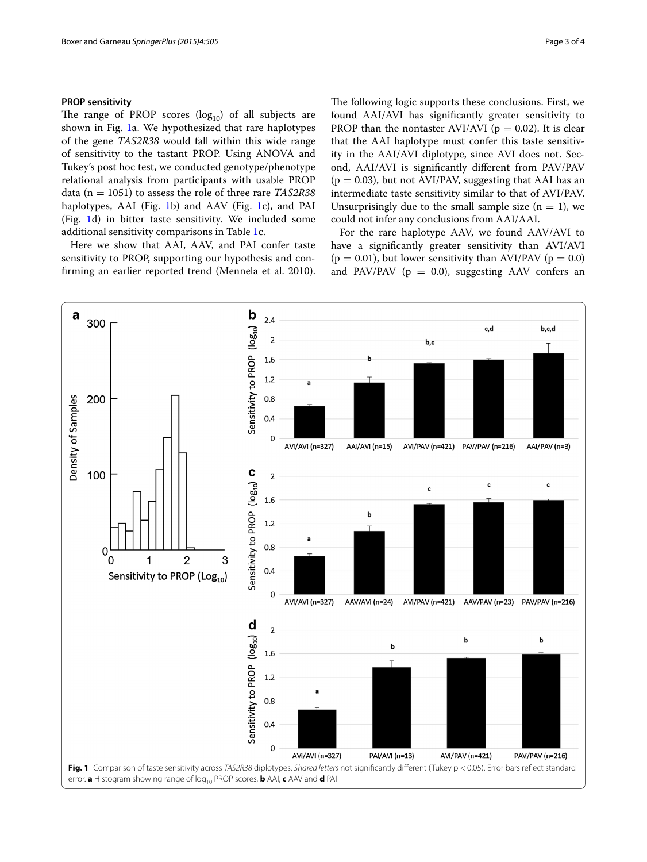## **PROP sensitivity**

The range of PROP scores  $(log_{10})$  of all subjects are shown in Fig. [1a](#page-2-0). We hypothesized that rare haplotypes of the gene *TAS2R38* would fall within this wide range of sensitivity to the tastant PROP. Using ANOVA and Tukey's post hoc test, we conducted genotype/phenotype relational analysis from participants with usable PROP data (n = 1051) to assess the role of three rare *TAS2R38* haplotypes, AAI (Fig. [1](#page-2-0)b) and AAV (Fig. [1c](#page-2-0)), and PAI (Fig. [1](#page-2-0)d) in bitter taste sensitivity. We included some additional sensitivity comparisons in Table [1c](#page-1-0).

Here we show that AAI, AAV, and PAI confer taste sensitivity to PROP, supporting our hypothesis and confirming an earlier reported trend (Mennela et al. 2010). The following logic supports these conclusions. First, we found AAI/AVI has significantly greater sensitivity to PROP than the nontaster AVI/AVI ( $p = 0.02$ ). It is clear that the AAI haplotype must confer this taste sensitivity in the AAI/AVI diplotype, since AVI does not. Second, AAI/AVI is significantly different from PAV/PAV  $(p = 0.03)$ , but not AVI/PAV, suggesting that AAI has an intermediate taste sensitivity similar to that of AVI/PAV. Unsurprisingly due to the small sample size  $(n = 1)$ , we could not infer any conclusions from AAI/AAI.

For the rare haplotype AAV, we found AAV/AVI to have a significantly greater sensitivity than AVI/AVI  $(p = 0.01)$ , but lower sensitivity than AVI/PAV  $(p = 0.0)$ and PAV/PAV ( $p = 0.0$ ), suggesting AAV confers an

<span id="page-2-0"></span>